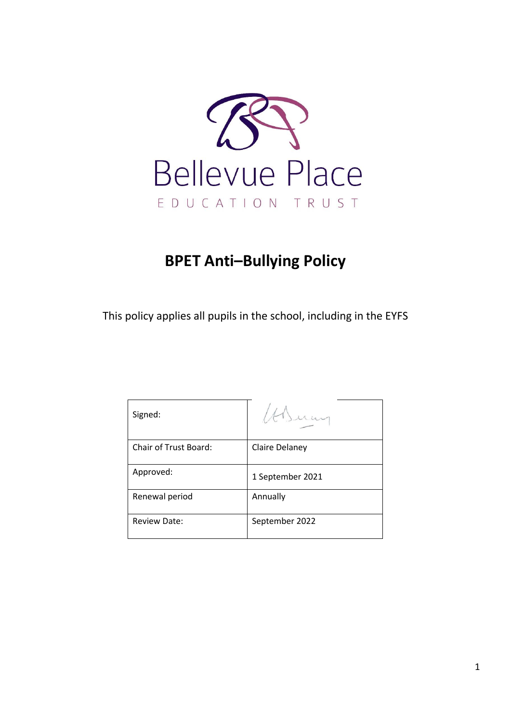

# **BPET Anti–Bullying Policy**

This policy applies all pupils in the school, including in the EYFS

| Signed:               |                  |
|-----------------------|------------------|
| Chair of Trust Board: | Claire Delaney   |
| Approved:             | 1 September 2021 |
| Renewal period        | Annually         |
| <b>Review Date:</b>   | September 2022   |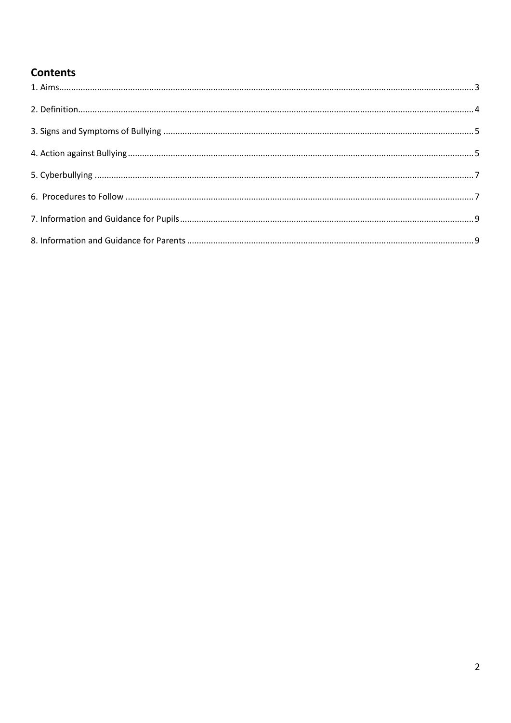## **Contents**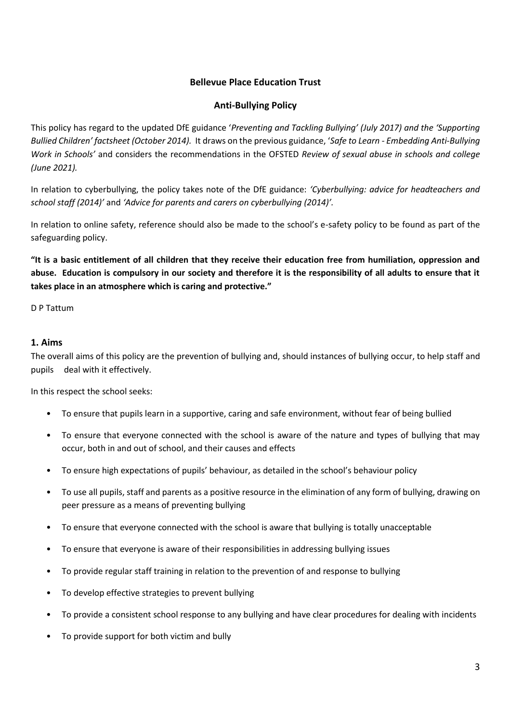## **Bellevue Place Education Trust**

## **Anti-Bullying Policy**

This policy has regard to the updated DfE guidance '*Preventing and Tackling Bullying' (July 2017) and the 'Supporting Bullied Children' factsheet (October 2014).* It draws on the previous guidance, '*Safe to Learn - Embedding Anti-Bullying Work in Schools'* and considers the recommendations in the OFSTED *Review of sexual abuse in schools and college (June 2021).*

In relation to cyberbullying, the policy takes note of the DfE guidance: *'Cyberbullying: advice for headteachers and school staff (2014)'* and *'Advice for parents and carers on cyberbullying (2014)'.*

In relation to online safety, reference should also be made to the school's e-safety policy to be found as part of the safeguarding policy.

**"It is a basic entitlement of all children that they receive their education free from humiliation, oppression and abuse. Education is compulsory in our society and therefore it is the responsibility of all adults to ensure that it takes place in an atmosphere which is caring and protective."**

D P Tattum

#### <span id="page-2-0"></span>**1. Aims**

The overall aims of this policy are the prevention of bullying and, should instances of bullying occur, to help staff and pupils deal with it effectively.

In this respect the school seeks:

- To ensure that pupils learn in a supportive, caring and safe environment, without fear of being bullied
- To ensure that everyone connected with the school is aware of the nature and types of bullying that may occur, both in and out of school, and their causes and effects
- To ensure high expectations of pupils' behaviour, as detailed in the school's behaviour policy
- To use all pupils, staff and parents as a positive resource in the elimination of any form of bullying, drawing on peer pressure as a means of preventing bullying
- To ensure that everyone connected with the school is aware that bullying is totally unacceptable
- To ensure that everyone is aware of their responsibilities in addressing bullying issues
- To provide regular staff training in relation to the prevention of and response to bullying
- To develop effective strategies to prevent bullying
- To provide a consistent school response to any bullying and have clear procedures for dealing with incidents
- To provide support for both victim and bully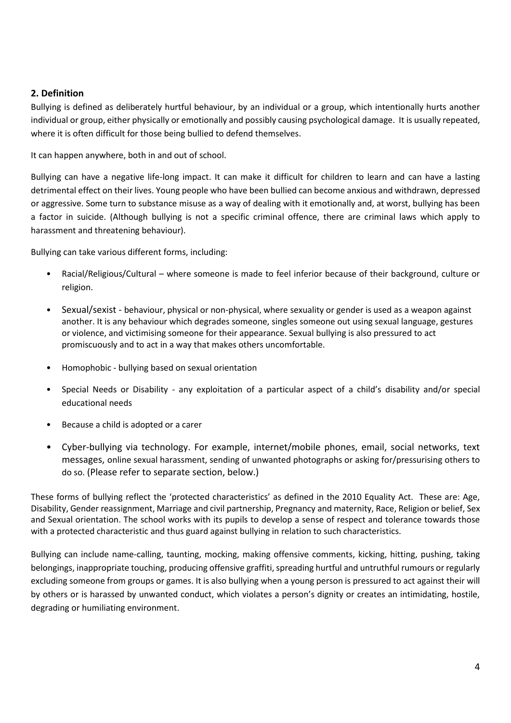## <span id="page-3-0"></span>**2. Definition**

Bullying is defined as deliberately hurtful behaviour, by an individual or a group, which intentionally hurts another individual or group, either physically or emotionally and possibly causing psychological damage. It is usually repeated, where it is often difficult for those being bullied to defend themselves.

It can happen anywhere, both in and out of school.

Bullying can have a negative life-long impact. It can make it difficult for children to learn and can have a lasting detrimental effect on their lives. Young people who have been bullied can become anxious and withdrawn, depressed or aggressive. Some turn to substance misuse as a way of dealing with it emotionally and, at worst, bullying has been a factor in suicide. (Although bullying is not a specific criminal offence, there are criminal laws which apply to harassment and threatening behaviour).

Bullying can take various different forms, including:

- Racial/Religious/Cultural where someone is made to feel inferior because of their background, culture or religion.
- Sexual/sexist behaviour, physical or non-physical, where sexuality or gender is used as a weapon against another. It is any behaviour which degrades someone, singles someone out using sexual language, gestures or violence, and victimising someone for their appearance. Sexual bullying is also pressured to act promiscuously and to act in a way that makes others uncomfortable.
- Homophobic bullying based on sexual orientation
- Special Needs or Disability any exploitation of a particular aspect of a child's disability and/or special educational needs
- Because a child is adopted or a carer
- Cyber-bullying via technology. For example, internet/mobile phones, email, social networks, text messages, online sexual harassment, sending of unwanted photographs or asking for/pressurising others to do so. (Please refer to separate section, below.)

These forms of bullying reflect the 'protected characteristics' as defined in the 2010 Equality Act. These are: Age, Disability, Gender reassignment, Marriage and civil partnership, Pregnancy and maternity, Race, Religion or belief, Sex and Sexual orientation. The school works with its pupils to develop a sense of respect and tolerance towards those with a protected characteristic and thus guard against bullying in relation to such characteristics.

<span id="page-3-1"></span>Bullying can include name-calling, taunting, mocking, making offensive comments, kicking, hitting, pushing, taking belongings, inappropriate touching, producing offensive graffiti, spreading hurtful and untruthful rumours or regularly excluding someone from groups or games. It is also bullying when a young person is pressured to act against their will by others or is harassed by unwanted conduct, which violates a person's dignity or creates an intimidating, hostile, degrading or humiliating environment.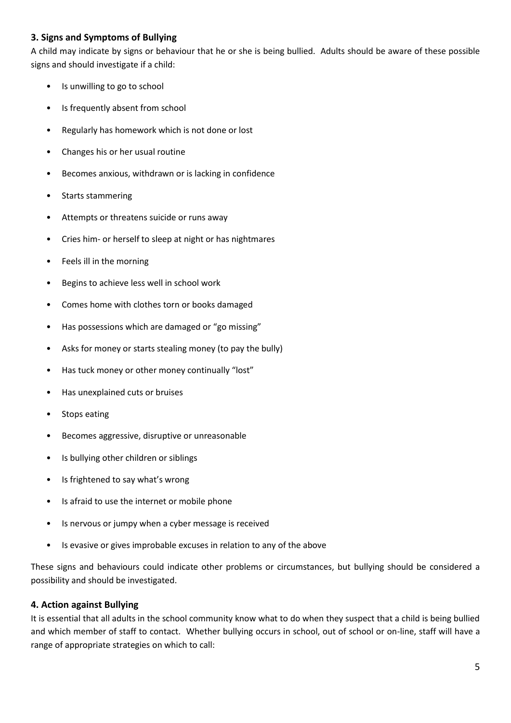## **3. Signs and Symptoms of Bullying**

A child may indicate by signs or behaviour that he or she is being bullied. Adults should be aware of these possible signs and should investigate if a child:

- Is unwilling to go to school
- Is frequently absent from school
- Regularly has homework which is not done or lost
- Changes his or her usual routine
- Becomes anxious, withdrawn or is lacking in confidence
- Starts stammering
- Attempts or threatens suicide or runs away
- Cries him- or herself to sleep at night or has nightmares
- Feels ill in the morning
- Begins to achieve less well in school work
- Comes home with clothes torn or books damaged
- Has possessions which are damaged or "go missing"
- Asks for money or starts stealing money (to pay the bully)
- Has tuck money or other money continually "lost"
- Has unexplained cuts or bruises
- Stops eating
- Becomes aggressive, disruptive or unreasonable
- Is bullying other children or siblings
- Is frightened to say what's wrong
- Is afraid to use the internet or mobile phone
- Is nervous or jumpy when a cyber message is received
- Is evasive or gives improbable excuses in relation to any of the above

These signs and behaviours could indicate other problems or circumstances, but bullying should be considered a possibility and should be investigated.

## <span id="page-4-0"></span>**4. Action against Bullying**

It is essential that all adults in the school community know what to do when they suspect that a child is being bullied and which member of staff to contact. Whether bullying occurs in school, out of school or on-line, staff will have a range of appropriate strategies on which to call: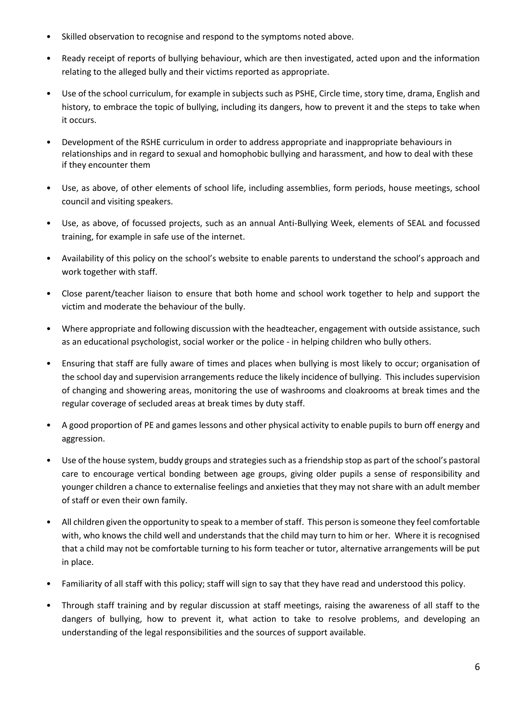- Skilled observation to recognise and respond to the symptoms noted above.
- Ready receipt of reports of bullying behaviour, which are then investigated, acted upon and the information relating to the alleged bully and their victims reported as appropriate.
- Use of the school curriculum, for example in subjects such as PSHE, Circle time, story time, drama, English and history, to embrace the topic of bullying, including its dangers, how to prevent it and the steps to take when it occurs.
- Development of the RSHE curriculum in order to address appropriate and inappropriate behaviours in relationships and in regard to sexual and homophobic bullying and harassment, and how to deal with these if they encounter them
- Use, as above, of other elements of school life, including assemblies, form periods, house meetings, school council and visiting speakers.
- Use, as above, of focussed projects, such as an annual Anti-Bullying Week, elements of SEAL and focussed training, for example in safe use of the internet.
- Availability of this policy on the school's website to enable parents to understand the school's approach and work together with staff.
- Close parent/teacher liaison to ensure that both home and school work together to help and support the victim and moderate the behaviour of the bully.
- Where appropriate and following discussion with the headteacher, engagement with outside assistance, such as an educational psychologist, social worker or the police - in helping children who bully others.
- Ensuring that staff are fully aware of times and places when bullying is most likely to occur; organisation of the school day and supervision arrangements reduce the likely incidence of bullying. This includes supervision of changing and showering areas, monitoring the use of washrooms and cloakrooms at break times and the regular coverage of secluded areas at break times by duty staff.
- A good proportion of PE and games lessons and other physical activity to enable pupils to burn off energy and aggression.
- Use of the house system, buddy groups and strategies such as a friendship stop as part of the school's pastoral care to encourage vertical bonding between age groups, giving older pupils a sense of responsibility and younger children a chance to externalise feelings and anxieties that they may not share with an adult member of staff or even their own family.
- All children given the opportunity to speak to a member of staff. This person is someone they feel comfortable with, who knows the child well and understands that the child may turn to him or her. Where it is recognised that a child may not be comfortable turning to his form teacher or tutor, alternative arrangements will be put in place.
- Familiarity of all staff with this policy; staff will sign to say that they have read and understood this policy.
- Through staff training and by regular discussion at staff meetings, raising the awareness of all staff to the dangers of bullying, how to prevent it, what action to take to resolve problems, and developing an understanding of the legal responsibilities and the sources of support available.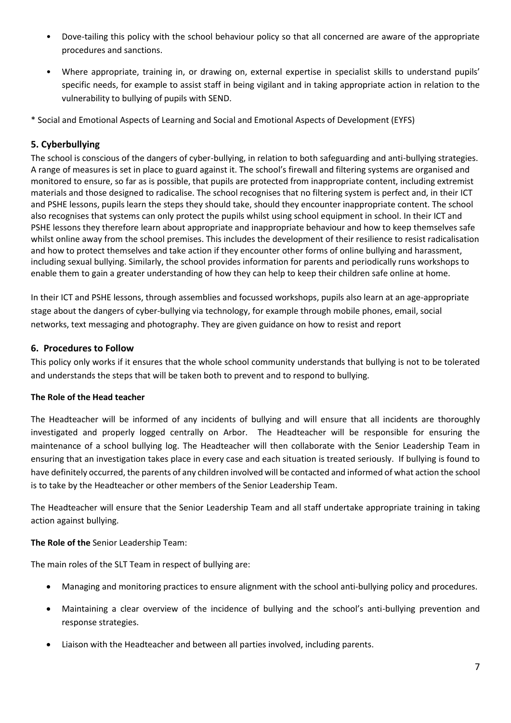- Dove-tailing this policy with the school behaviour policy so that all concerned are aware of the appropriate procedures and sanctions.
- Where appropriate, training in, or drawing on, external expertise in specialist skills to understand pupils' specific needs, for example to assist staff in being vigilant and in taking appropriate action in relation to the vulnerability to bullying of pupils with SEND.
- \* Social and Emotional Aspects of Learning and Social and Emotional Aspects of Development (EYFS)

## <span id="page-6-0"></span>**5. Cyberbullying**

The school is conscious of the dangers of cyber-bullying, in relation to both safeguarding and anti-bullying strategies. A range of measures is set in place to guard against it. The school's firewall and filtering systems are organised and monitored to ensure, so far as is possible, that pupils are protected from inappropriate content, including extremist materials and those designed to radicalise. The school recognises that no filtering system is perfect and, in their ICT and PSHE lessons, pupils learn the steps they should take, should they encounter inappropriate content. The school also recognises that systems can only protect the pupils whilst using school equipment in school. In their ICT and PSHE lessons they therefore learn about appropriate and inappropriate behaviour and how to keep themselves safe whilst online away from the school premises. This includes the development of their resilience to resist radicalisation and how to protect themselves and take action if they encounter other forms of online bullying and harassment, including sexual bullying. Similarly, the school provides information for parents and periodically runs workshops to enable them to gain a greater understanding of how they can help to keep their children safe online at home.

In their ICT and PSHE lessons, through assemblies and focussed workshops, pupils also learn at an age-appropriate stage about the dangers of cyber-bullying via technology, for example through mobile phones, email, social networks, text messaging and photography. They are given guidance on how to resist and report

## <span id="page-6-1"></span>**6. Procedures to Follow**

This policy only works if it ensures that the whole school community understands that bullying is not to be tolerated and understands the steps that will be taken both to prevent and to respond to bullying.

## **The Role of the Head teacher**

The Headteacher will be informed of any incidents of bullying and will ensure that all incidents are thoroughly investigated and properly logged centrally on Arbor. The Headteacher will be responsible for ensuring the maintenance of a school bullying log. The Headteacher will then collaborate with the Senior Leadership Team in ensuring that an investigation takes place in every case and each situation is treated seriously. If bullying is found to have definitely occurred, the parents of any children involved will be contacted and informed of what action the school is to take by the Headteacher or other members of the Senior Leadership Team.

The Headteacher will ensure that the Senior Leadership Team and all staff undertake appropriate training in taking action against bullying.

## **The Role of the** Senior Leadership Team:

The main roles of the SLT Team in respect of bullying are:

- Managing and monitoring practices to ensure alignment with the school anti-bullying policy and procedures.
- Maintaining a clear overview of the incidence of bullying and the school's anti-bullying prevention and response strategies.
- Liaison with the Headteacher and between all parties involved, including parents.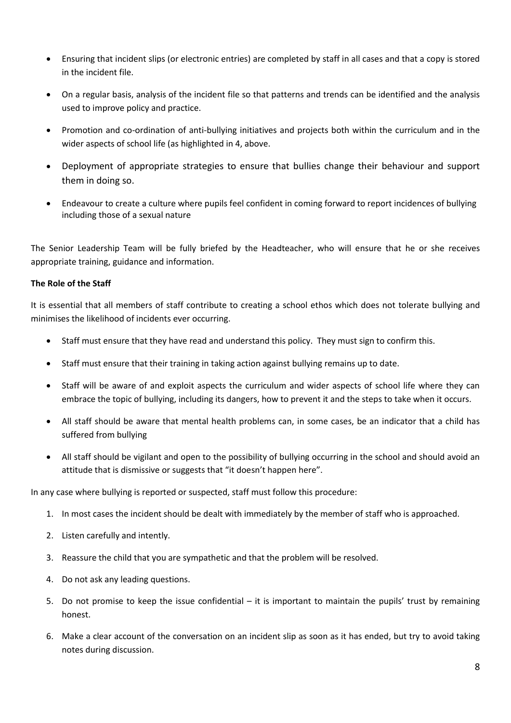- Ensuring that incident slips (or electronic entries) are completed by staff in all cases and that a copy is stored in the incident file.
- On a regular basis, analysis of the incident file so that patterns and trends can be identified and the analysis used to improve policy and practice.
- Promotion and co-ordination of anti-bullying initiatives and projects both within the curriculum and in the wider aspects of school life (as highlighted in 4, above.
- Deployment of appropriate strategies to ensure that bullies change their behaviour and support them in doing so.
- Endeavour to create a culture where pupils feel confident in coming forward to report incidences of bullying including those of a sexual nature

The Senior Leadership Team will be fully briefed by the Headteacher, who will ensure that he or she receives appropriate training, guidance and information.

## **The Role of the Staff**

It is essential that all members of staff contribute to creating a school ethos which does not tolerate bullying and minimises the likelihood of incidents ever occurring.

- Staff must ensure that they have read and understand this policy. They must sign to confirm this.
- Staff must ensure that their training in taking action against bullying remains up to date.
- Staff will be aware of and exploit aspects the curriculum and wider aspects of school life where they can embrace the topic of bullying, including its dangers, how to prevent it and the steps to take when it occurs.
- All staff should be aware that mental health problems can, in some cases, be an indicator that a child has suffered from bullying
- All staff should be vigilant and open to the possibility of bullying occurring in the school and should avoid an attitude that is dismissive or suggests that "it doesn't happen here".

In any case where bullying is reported or suspected, staff must follow this procedure:

- 1. In most cases the incident should be dealt with immediately by the member of staff who is approached.
- 2. Listen carefully and intently.
- 3. Reassure the child that you are sympathetic and that the problem will be resolved.
- 4. Do not ask any leading questions.
- 5. Do not promise to keep the issue confidential it is important to maintain the pupils' trust by remaining honest.
- 6. Make a clear account of the conversation on an incident slip as soon as it has ended, but try to avoid taking notes during discussion.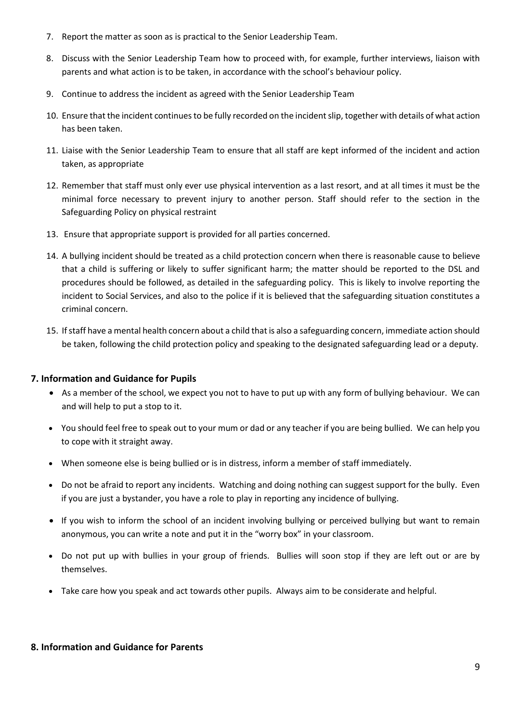- 7. Report the matter as soon as is practical to the Senior Leadership Team.
- 8. Discuss with the Senior Leadership Team how to proceed with, for example, further interviews, liaison with parents and what action is to be taken, in accordance with the school's behaviour policy.
- 9. Continue to address the incident as agreed with the Senior Leadership Team
- 10. Ensure that the incident continues to be fully recorded on the incident slip, together with details of what action has been taken.
- 11. Liaise with the Senior Leadership Team to ensure that all staff are kept informed of the incident and action taken, as appropriate
- 12. Remember that staff must only ever use physical intervention as a last resort, and at all times it must be the minimal force necessary to prevent injury to another person. Staff should refer to the section in the Safeguarding Policy on physical restraint
- 13. Ensure that appropriate support is provided for all parties concerned.
- 14. A bullying incident should be treated as a child protection concern when there is reasonable cause to believe that a child is suffering or likely to suffer significant harm; the matter should be reported to the DSL and procedures should be followed, as detailed in the safeguarding policy. This is likely to involve reporting the incident to Social Services, and also to the police if it is believed that the safeguarding situation constitutes a criminal concern.
- 15. If staff have a mental health concern about a child that is also a safeguarding concern, immediate action should be taken, following the child protection policy and speaking to the designated safeguarding lead or a deputy.

#### <span id="page-8-0"></span>**7. Information and Guidance for Pupils**

- As a member of the school, we expect you not to have to put up with any form of bullying behaviour. We can and will help to put a stop to it.
- You should feel free to speak out to your mum or dad or any teacher if you are being bullied. We can help you to cope with it straight away.
- When someone else is being bullied or is in distress, inform a member of staff immediately.
- Do not be afraid to report any incidents. Watching and doing nothing can suggest support for the bully. Even if you are just a bystander, you have a role to play in reporting any incidence of bullying.
- If you wish to inform the school of an incident involving bullying or perceived bullying but want to remain anonymous, you can write a note and put it in the "worry box" in your classroom.
- Do not put up with bullies in your group of friends. Bullies will soon stop if they are left out or are by themselves.
- Take care how you speak and act towards other pupils. Always aim to be considerate and helpful.

#### <span id="page-8-1"></span>**8. Information and Guidance for Parents**